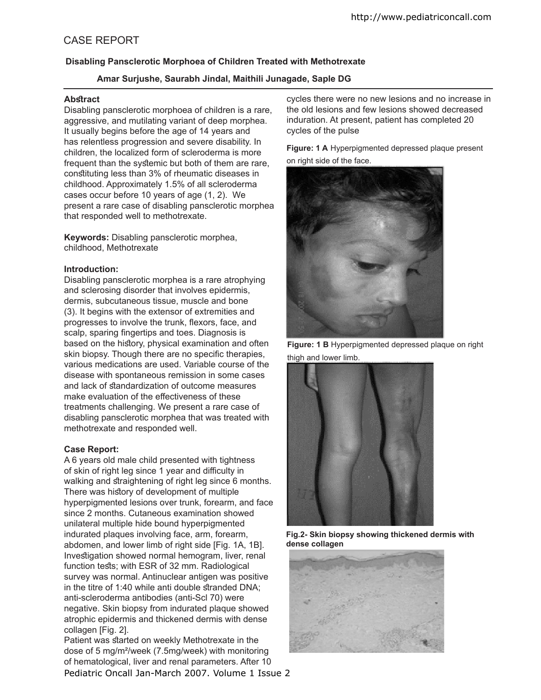# CASE REPORT

## **Disabling Pansclerotic Morphoea of Children Treated with Methotrexate**

## **Amar Surjushe, Saurabh Jindal, Maithili Junagade, Saple DG**

#### Abstract

Disabling pansclerotic morphoea of children is a rare, aggressive, and mutilating variant of deep morphea. It usually begins before the age of 14 years and has relentless progression and severe disability. In children, the localized form of scleroderma is more frequent than the sytemic but both of them are rare, constituting less than 3% of rheumatic diseases in childhood. Approximately 1.5% of all scleroderma cases occur before 10 years of age (1, 2). We present a rare case of disabling pansclerotic morphea that responded well to methotrexate.

**Keywords:** Disabling pansclerotic morphea, childhood, Methotrexate

#### **Introduction:**

Disabling pansclerotic morphea is a rare atrophying and sclerosing disorder that involves epidermis, dermis, subcutaneous tissue, muscle and bone (3). It begins with the extensor of extremities and progresses to involve the trunk, flexors, face, and scalp, sparing fingertips and toes. Diagnosis is based on the history, physical examination and often skin biopsy. Though there are no specific therapies, various medications are used. Variable course of the disease with spontaneous remission in some cases and lack of standardization of outcome measures make evaluation of the efectiveness of these treatments challenging. We present a rare case of disabling pansclerotic morphea that was treated with methotrexate and responded well.

### **Case Report:**

A 6 years old male child presented with tightness of skin of right leg since 1 year and difficulty in walking and straightening of right leg since 6 months. There was history of development of multiple hyperpigmented lesions over trunk, forearm, and face since 2 months. Cutaneous examination showed unilateral multiple hide bound hyperpigmented indurated plaques involving face, arm, forearm, abdomen, and lower limb of right side [Fig. 1A, 1B]. Investigation showed normal hemogram, liver, renal function tests; with ESR of 32 mm. Radiological survey was normal. Antinuclear antigen was positive in the titre of 1:40 while anti double stranded DNA; anti-scleroderma antibodies (anti-Scl 70) were negative. Skin biopsy from indurated plaque showed atrophic epidermis and thickened dermis with dense collagen [Fig. 2].

Pediatric Oncall Jan-March 2007. Volume 1 Issue 2 Patient was started on weekly Methotrexate in the dose of 5 mg/m²/week (7.5mg/week) with monitoring of hematological, liver and renal parameters. After 10

cycles there were no new lesions and no increase in the old lesions and few lesions showed decreased induration. At present, patient has completed 20 cycles of the pulse

**Figure: 1 A** Hyperpigmented depressed plaque present on right side of the face.



**Figure: 1 B** Hyperpigmented depressed plaque on right thigh and lower limb.



**Fig.2- Skin biopsy showing thickened dermis with dense collagen**